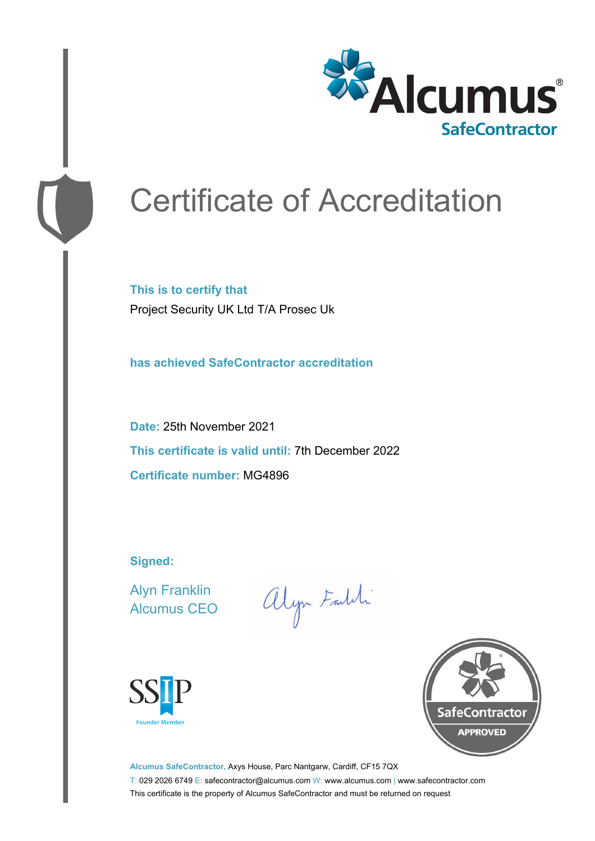

# Certificate of Accreditation

**This is to certify that** Project Security UK Ltd T/A Prosec Uk

**has achieved SafeContractor accreditation**

**Date:** 25th November 2021 **This certificate is valid until:** 7th December 2022 **Certificate number:** MG4896

**Signed:**

Alyn Franklin Alcumus CEO

alyn Faith





**Alcumus SafeContractor,** Axys House, Parc Nantgarw, Cardiff, CF15 7QX T: 029 2026 6749 E: safecontractor@alcumus.com W: www.alcumus.com | www.safecontractor.com This certificate is the property of Alcumus SafeContractor and must be returned on request